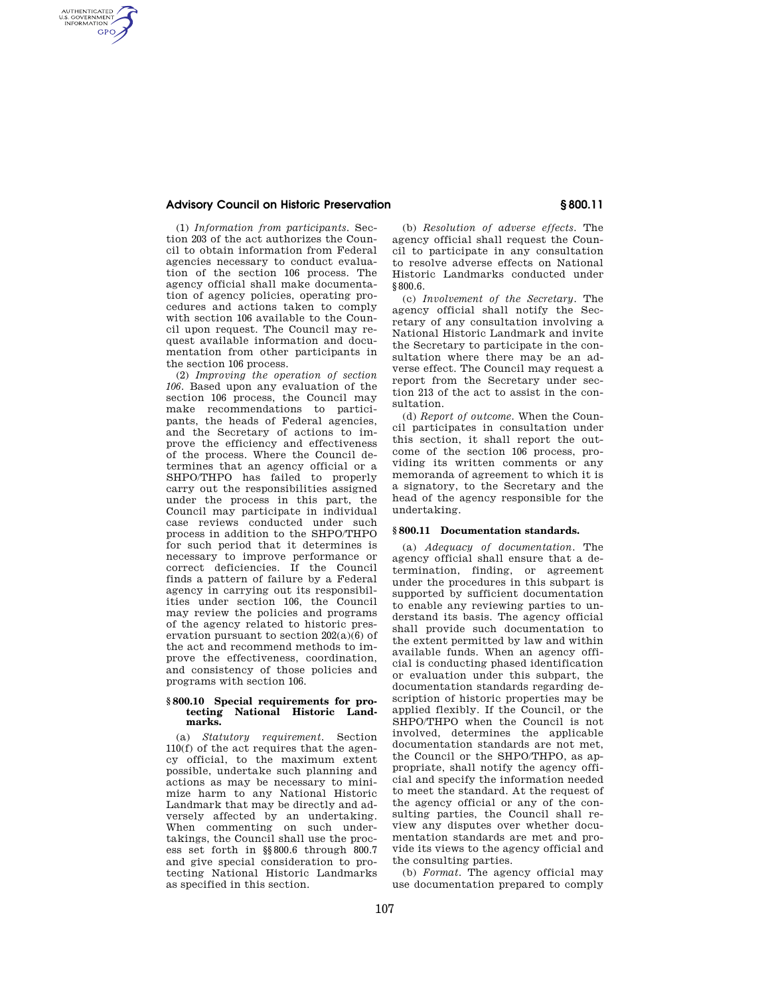# **Advisory Council on Historic Preservation § 800.11**

AUTHENTICATED<br>U.S. GOVERNMENT<br>INFORMATION **GPO** 

> (1) *Information from participants.* Section 203 of the act authorizes the Council to obtain information from Federal agencies necessary to conduct evaluation of the section 106 process. The agency official shall make documentation of agency policies, operating procedures and actions taken to comply with section 106 available to the Council upon request. The Council may request available information and documentation from other participants in the section 106 process.

> (2) *Improving the operation of section 106.* Based upon any evaluation of the section 106 process, the Council may make recommendations to participants, the heads of Federal agencies, and the Secretary of actions to improve the efficiency and effectiveness of the process. Where the Council determines that an agency official or a SHPO/THPO has failed to properly carry out the responsibilities assigned under the process in this part, the Council may participate in individual case reviews conducted under such process in addition to the SHPO/THPO for such period that it determines is necessary to improve performance or correct deficiencies. If the Council finds a pattern of failure by a Federal agency in carrying out its responsibilities under section 106, the Council may review the policies and programs of the agency related to historic preservation pursuant to section 202(a)(6) of the act and recommend methods to improve the effectiveness, coordination, and consistency of those policies and programs with section 106.

#### **§ 800.10 Special requirements for pro-National Historic Landmarks.**

(a) *Statutory requirement.* Section 110(f) of the act requires that the agency official, to the maximum extent possible, undertake such planning and actions as may be necessary to minimize harm to any National Historic Landmark that may be directly and adversely affected by an undertaking. When commenting on such undertakings, the Council shall use the process set forth in §§800.6 through 800.7 and give special consideration to protecting National Historic Landmarks as specified in this section.

(b) *Resolution of adverse effects.* The agency official shall request the Council to participate in any consultation to resolve adverse effects on National Historic Landmarks conducted under §800.6.

(c) *Involvement of the Secretary.* The agency official shall notify the Secretary of any consultation involving a National Historic Landmark and invite the Secretary to participate in the consultation where there may be an adverse effect. The Council may request a report from the Secretary under section 213 of the act to assist in the consultation.

(d) *Report of outcome.* When the Council participates in consultation under this section, it shall report the outcome of the section 106 process, providing its written comments or any memoranda of agreement to which it is a signatory, to the Secretary and the head of the agency responsible for the undertaking.

### **§ 800.11 Documentation standards.**

(a) *Adequacy of documentation.* The agency official shall ensure that a determination, finding, or agreement under the procedures in this subpart is supported by sufficient documentation to enable any reviewing parties to understand its basis. The agency official shall provide such documentation to the extent permitted by law and within available funds. When an agency official is conducting phased identification or evaluation under this subpart, the documentation standards regarding description of historic properties may be applied flexibly. If the Council, or the SHPO/THPO when the Council is not involved, determines the applicable documentation standards are not met, the Council or the SHPO/THPO, as appropriate, shall notify the agency official and specify the information needed to meet the standard. At the request of the agency official or any of the consulting parties, the Council shall review any disputes over whether documentation standards are met and provide its views to the agency official and the consulting parties.

(b) *Format.* The agency official may use documentation prepared to comply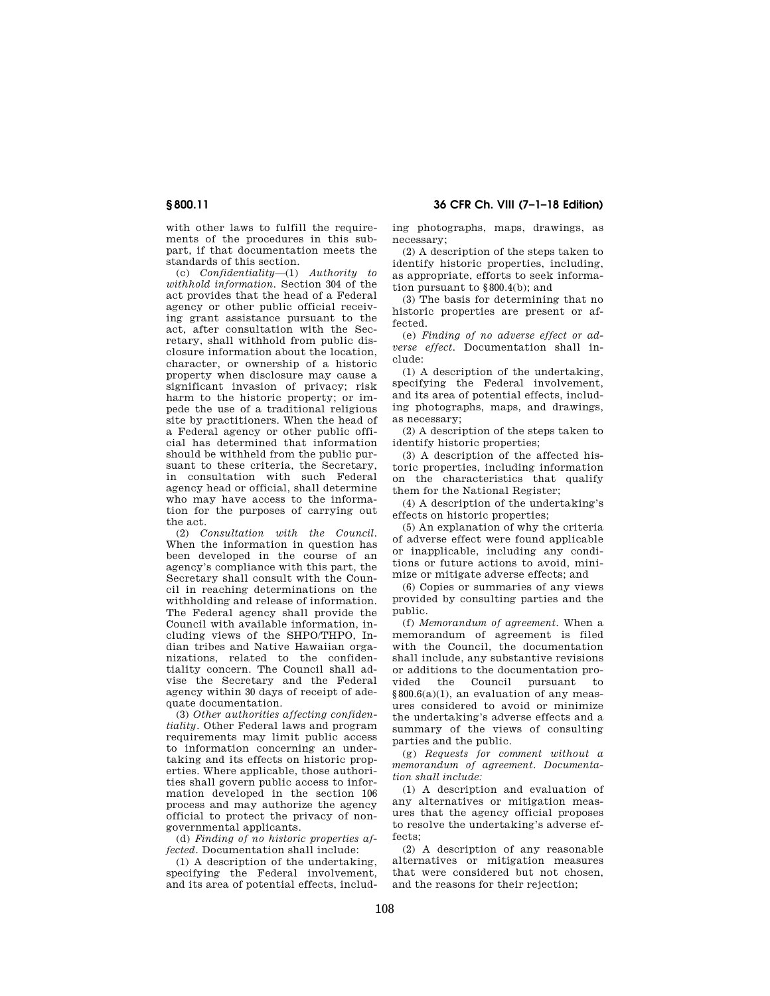with other laws to fulfill the requirements of the procedures in this subpart, if that documentation meets the standards of this section.

(c) *Confidentiality*—(1) *Authority to withhold information.* Section 304 of the act provides that the head of a Federal agency or other public official receiving grant assistance pursuant to the act, after consultation with the Secretary, shall withhold from public disclosure information about the location, character, or ownership of a historic property when disclosure may cause a significant invasion of privacy; risk harm to the historic property; or impede the use of a traditional religious site by practitioners. When the head of a Federal agency or other public official has determined that information should be withheld from the public pursuant to these criteria, the Secretary, in consultation with such Federal agency head or official, shall determine who may have access to the information for the purposes of carrying out the act.

(2) *Consultation with the Council.*  When the information in question has been developed in the course of an agency's compliance with this part, the Secretary shall consult with the Council in reaching determinations on the withholding and release of information. The Federal agency shall provide the Council with available information, including views of the SHPO/THPO, Indian tribes and Native Hawaiian organizations, related to the confidentiality concern. The Council shall advise the Secretary and the Federal agency within 30 days of receipt of adequate documentation.

(3) *Other authorities affecting confidentiality.* Other Federal laws and program requirements may limit public access to information concerning an undertaking and its effects on historic properties. Where applicable, those authorities shall govern public access to information developed in the section 106 process and may authorize the agency official to protect the privacy of nongovernmental applicants.

(d) *Finding of no historic properties affected.* Documentation shall include:

(1) A description of the undertaking, specifying the Federal involvement, and its area of potential effects, including photographs, maps, drawings, as necessary;

(2) A description of the steps taken to identify historic properties, including, as appropriate, efforts to seek information pursuant to §800.4(b); and

(3) The basis for determining that no historic properties are present or affected.

(e) *Finding of no adverse effect or adverse effect.* Documentation shall include:

(1) A description of the undertaking, specifying the Federal involvement. and its area of potential effects, including photographs, maps, and drawings, as necessary;

(2) A description of the steps taken to identify historic properties;

(3) A description of the affected historic properties, including information on the characteristics that qualify them for the National Register;

(4) A description of the undertaking's effects on historic properties;

(5) An explanation of why the criteria of adverse effect were found applicable or inapplicable, including any conditions or future actions to avoid, minimize or mitigate adverse effects; and

(6) Copies or summaries of any views provided by consulting parties and the public.

(f) *Memorandum of agreement.* When a memorandum of agreement is filed with the Council, the documentation shall include, any substantive revisions or additions to the documentation provided the Council pursuant to §800.6(a)(1), an evaluation of any measures considered to avoid or minimize the undertaking's adverse effects and a summary of the views of consulting parties and the public.

(g) *Requests for comment without a memorandum of agreement. Documentation shall include:* 

(1) A description and evaluation of any alternatives or mitigation measures that the agency official proposes to resolve the undertaking's adverse effects;

(2) A description of any reasonable alternatives or mitigation measures that were considered but not chosen, and the reasons for their rejection;